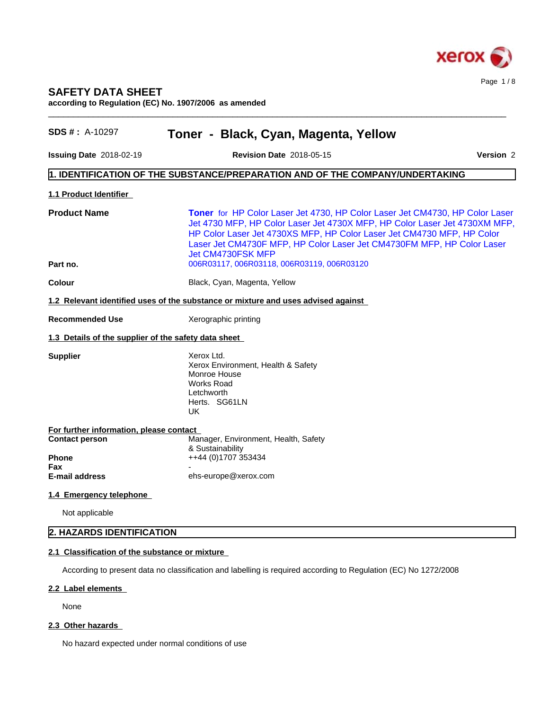

# **SAFETY DATA SHEET**

**according to Regulation (EC) No. 1907/2006 as amended**

| <b>SDS #</b> : $A-10297$                             | Toner - Black, Cyan, Magenta, Yellow                                                                                                                                                                                                                                                                                                |           |
|------------------------------------------------------|-------------------------------------------------------------------------------------------------------------------------------------------------------------------------------------------------------------------------------------------------------------------------------------------------------------------------------------|-----------|
| <b>Issuing Date 2018-02-19</b>                       | <b>Revision Date 2018-05-15</b>                                                                                                                                                                                                                                                                                                     | Version 2 |
|                                                      | 1. IDENTIFICATION OF THE SUBSTANCE/PREPARATION AND OF THE COMPANY/UNDERTAKING                                                                                                                                                                                                                                                       |           |
| 1.1 Product Identifier                               |                                                                                                                                                                                                                                                                                                                                     |           |
| <b>Product Name</b>                                  | Toner for HP Color Laser Jet 4730, HP Color Laser Jet CM4730, HP Color Laser<br>Jet 4730 MFP, HP Color Laser Jet 4730X MFP, HP Color Laser Jet 4730XM MFP,<br>HP Color Laser Jet 4730XS MFP, HP Color Laser Jet CM4730 MFP, HP Color<br>Laser Jet CM4730F MFP, HP Color Laser Jet CM4730FM MFP, HP Color Laser<br>Jet CM4730FSK MFP |           |
| Part no.                                             | 006R03117, 006R03118, 006R03119, 006R03120                                                                                                                                                                                                                                                                                          |           |
| <b>Colour</b>                                        | Black, Cyan, Magenta, Yellow                                                                                                                                                                                                                                                                                                        |           |
|                                                      | 1.2 Relevant identified uses of the substance or mixture and uses advised against                                                                                                                                                                                                                                                   |           |
| <b>Recommended Use</b>                               | Xerographic printing                                                                                                                                                                                                                                                                                                                |           |
| 1.3 Details of the supplier of the safety data sheet |                                                                                                                                                                                                                                                                                                                                     |           |
| <b>Supplier</b>                                      | Xerox Ltd.<br>Xerox Environment, Health & Safety<br>Monroe House<br><b>Works Road</b><br>Letchworth<br>Herts. SG61LN<br>UK.                                                                                                                                                                                                         |           |
| For further information, please contact              |                                                                                                                                                                                                                                                                                                                                     |           |
| <b>Contact person</b><br><b>Phone</b>                | Manager, Environment, Health, Safety<br>& Sustainability<br>++44 (0)1707 353434                                                                                                                                                                                                                                                     |           |
| Fax<br>E-mail address                                | ehs-europe@xerox.com                                                                                                                                                                                                                                                                                                                |           |
| 1.4 Emergency telephone                              |                                                                                                                                                                                                                                                                                                                                     |           |
| Not applicable                                       |                                                                                                                                                                                                                                                                                                                                     |           |
| 2. HAZARDS IDENTIFICATION                            |                                                                                                                                                                                                                                                                                                                                     |           |
| 2.1 Classification of the substance or mixture       |                                                                                                                                                                                                                                                                                                                                     |           |
|                                                      | According to present data no classification and labelling is required according to Regulation (EC) No 1272/2008                                                                                                                                                                                                                     |           |
|                                                      |                                                                                                                                                                                                                                                                                                                                     |           |

#### **2.2 Label elements**

None

# 2.3 Other hazards

No hazard expected under normal conditions of use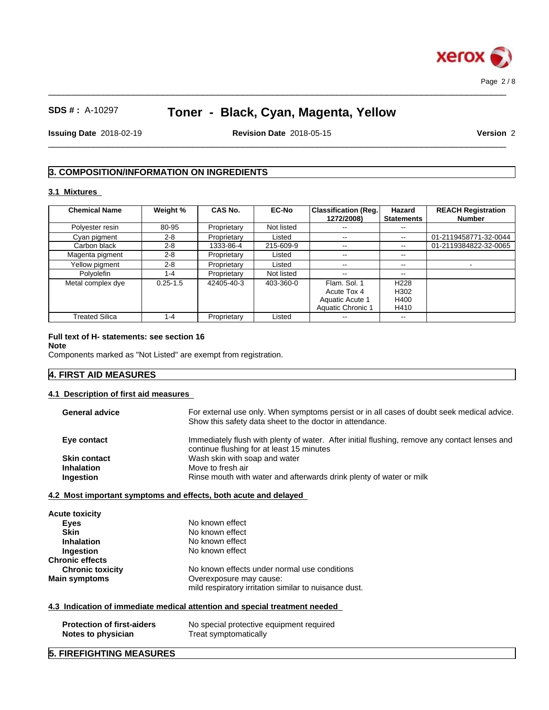

 $\_$  ,  $\_$  ,  $\_$  ,  $\_$  ,  $\_$  ,  $\_$  ,  $\_$  ,  $\_$  ,  $\_$  ,  $\_$  ,  $\_$  ,  $\_$  ,  $\_$  ,  $\_$  ,  $\_$  ,  $\_$  ,  $\_$  ,  $\_$  ,  $\_$  ,  $\_$  ,  $\_$  ,  $\_$  ,  $\_$  ,  $\_$  ,  $\_$  ,  $\_$  ,  $\_$  ,  $\_$  ,  $\_$  ,  $\_$  ,  $\_$  ,  $\_$  ,  $\_$  ,  $\_$  ,  $\_$  ,  $\_$  ,  $\_$  ,

**Issuing Date** 2018-02-19 **Revision Date** 2018-05-15 **Version** 2

 $\_$  ,  $\_$  ,  $\_$  ,  $\_$  ,  $\_$  ,  $\_$  ,  $\_$  ,  $\_$  ,  $\_$  ,  $\_$  ,  $\_$  ,  $\_$  ,  $\_$  ,  $\_$  ,  $\_$  ,  $\_$  ,  $\_$  ,  $\_$  ,  $\_$  ,  $\_$  ,  $\_$  ,  $\_$  ,  $\_$  ,  $\_$  ,  $\_$  ,  $\_$  ,  $\_$  ,  $\_$  ,  $\_$  ,  $\_$  ,  $\_$  ,  $\_$  ,  $\_$  ,  $\_$  ,  $\_$  ,  $\_$  ,  $\_$  ,

# **3. COMPOSITION/INFORMATION ON INGREDIENTS**

# **3.1 Mixtures**

| <b>Chemical Name</b>  | Weight %     | <b>CAS No.</b> | <b>EC-No</b> | <b>Classification (Reg.</b><br>1272/2008)                                  | Hazard<br><b>Statements</b>                          | <b>REACH Registration</b><br><b>Number</b> |
|-----------------------|--------------|----------------|--------------|----------------------------------------------------------------------------|------------------------------------------------------|--------------------------------------------|
| Polyester resin       | 80-95        | Proprietary    | Not listed   |                                                                            |                                                      |                                            |
| Cyan pigment          | $2 - 8$      | Proprietary    | Listed       | $- -$                                                                      | $\sim$ $\sim$                                        | 01-2119458771-32-0044                      |
| Carbon black          | $2 - 8$      | 1333-86-4      | 215-609-9    | $- -$                                                                      | --                                                   | 01-2119384822-32-0065                      |
| Magenta pigment       | $2 - 8$      | Proprietary    | Listed       | $- -$                                                                      | $- -$                                                |                                            |
| Yellow pigment        | $2 - 8$      | Proprietary    | Listed       | $- -$                                                                      | --                                                   |                                            |
| Polyolefin            | 1-4          | Proprietary    | Not listed   | $- -$                                                                      | $- -$                                                |                                            |
| Metal complex dye     | $0.25 - 1.5$ | 42405-40-3     | 403-360-0    | Flam, Sol. 1<br>Acute Tox 4<br>Aquatic Acute 1<br><b>Aquatic Chronic 1</b> | H <sub>228</sub><br>H <sub>302</sub><br>H400<br>H410 |                                            |
| <b>Treated Silica</b> | 1-4          | Proprietary    | Listed       | $- -$                                                                      | $- -$                                                |                                            |

# **Full text of H- statements: see section 16**

**Note**

Components marked as "Not Listed" are exempt from registration.

# **4. FIRST AID MEASURES**

# **4.1 Description of first aid measures**

| <b>General advice</b> | For external use only. When symptoms persist or in all cases of doubt seek medical advice.<br>Show this safety data sheet to the doctor in attendance. |
|-----------------------|--------------------------------------------------------------------------------------------------------------------------------------------------------|
| Eye contact           | Immediately flush with plenty of water. After initial flushing, remove any contact lenses and<br>continue flushing for at least 15 minutes             |
| <b>Skin contact</b>   | Wash skin with soap and water                                                                                                                          |
| <b>Inhalation</b>     | Move to fresh air                                                                                                                                      |
| Ingestion             | Rinse mouth with water and afterwards drink plenty of water or milk                                                                                    |

| <b>Acute toxicity</b>   |                                                       |  |
|-------------------------|-------------------------------------------------------|--|
| Eyes                    | No known effect                                       |  |
| <b>Skin</b>             | No known effect                                       |  |
| <b>Inhalation</b>       | No known effect                                       |  |
| Ingestion               | No known effect                                       |  |
| <b>Chronic effects</b>  |                                                       |  |
| <b>Chronic toxicity</b> | No known effects under normal use conditions          |  |
| <b>Main symptoms</b>    | Overexposure may cause:                               |  |
|                         | mild respiratory irritation similar to nuisance dust. |  |

# **4.3 Indication of immediate medical attention and special treatment needed**

| <b>Protection of first-aiders</b> | No special protective equipment required |
|-----------------------------------|------------------------------------------|
| Notes to physician                | Treat symptomatically                    |

# **5. FIREFIGHTING MEASURES**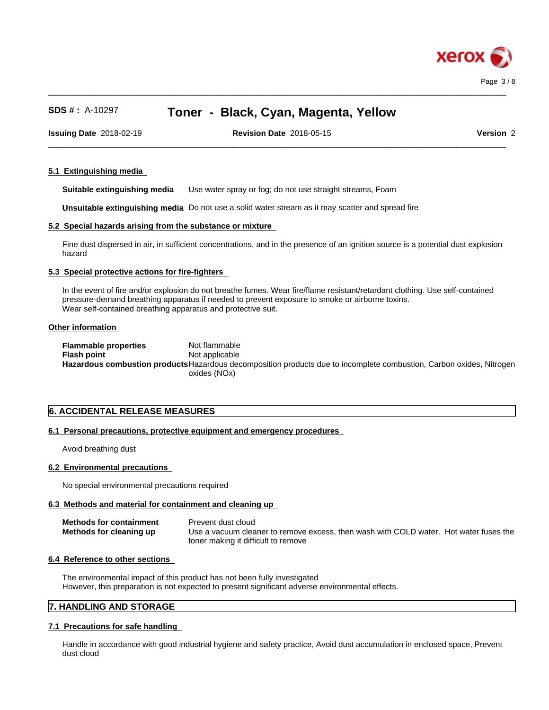

 $\_$  ,  $\_$  ,  $\_$  ,  $\_$  ,  $\_$  ,  $\_$  ,  $\_$  ,  $\_$  ,  $\_$  ,  $\_$  ,  $\_$  ,  $\_$  ,  $\_$  ,  $\_$  ,  $\_$  ,  $\_$  ,  $\_$  ,  $\_$  ,  $\_$  ,  $\_$  ,  $\_$  ,  $\_$  ,  $\_$  ,  $\_$  ,  $\_$  ,  $\_$  ,  $\_$  ,  $\_$  ,  $\_$  ,  $\_$  ,  $\_$  ,  $\_$  ,  $\_$  ,  $\_$  ,  $\_$  ,  $\_$  ,  $\_$  ,

 $\_$  ,  $\_$  ,  $\_$  ,  $\_$  ,  $\_$  ,  $\_$  ,  $\_$  ,  $\_$  ,  $\_$  ,  $\_$  ,  $\_$  ,  $\_$  ,  $\_$  ,  $\_$  ,  $\_$  ,  $\_$  ,  $\_$  ,  $\_$  ,  $\_$  ,  $\_$  ,  $\_$  ,  $\_$  ,  $\_$  ,  $\_$  ,  $\_$  ,  $\_$  ,  $\_$  ,  $\_$  ,  $\_$  ,  $\_$  ,  $\_$  ,  $\_$  ,  $\_$  ,  $\_$  ,  $\_$  ,  $\_$  ,  $\_$  , **Issuing Date** 2018-02-19 **Revision Date** 2018-05-15 **Version** 2

## **5.1 Extinguishing media**

**Suitable extinguishing media** Use water spray or fog; do not use straight streams, Foam

**Unsuitable extinguishing media** Do not use a solid water stream as it may scatterand spread fire

## **5.2 Special hazards arising from the substance or mixture**

Fine dust dispersed in air, in sufficient concentrations, and in the presence of an ignition source is a potential dust explosion hazard

## **5.3 Special protective actions for fire-fighters**

In the event of fire and/or explosion do not breathe fumes. Wear fire/flame resistant/retardant clothing. Use self-contained pressure-demand breathing apparatus if needed to prevent exposure to smoke or airborne toxins. Wear self-contained breathing apparatus and protective suit.

#### **Other information**

**Flammable properties** Not flammable **Flash point** Not applicable **Hazardous combustion products**Hazardous decomposition products due to incomplete combustion, Carbon oxides, Nitrogen oxides (NOx)

# **6. ACCIDENTAL RELEASE MEASURES**

## **6.1 Personal precautions, protective equipment and emergency procedures**

Avoid breathing dust

## **6.2 Environmental precautions**

No special environmental precautions required

# **6.3 Methods and material for containment and cleaning up**

| <b>Methods for containment</b> | Prevent dust cloud                                                                    |
|--------------------------------|---------------------------------------------------------------------------------------|
| Methods for cleaning up        | Use a vacuum cleaner to remove excess, then wash with COLD water. Hot water fuses the |
|                                | toner making it difficult to remove                                                   |

# **6.4 Reference to other sections**

The environmental impact of this product has not been fully investigated However, this preparation is not expected to present significant adverse environmental effects.

# **7. HANDLING AND STORAGE**

# **7.1 Precautions for safe handling**

Handle in accordance with good industrial hygiene and safety practice, Avoid dust accumulation in enclosed space, Prevent dust cloud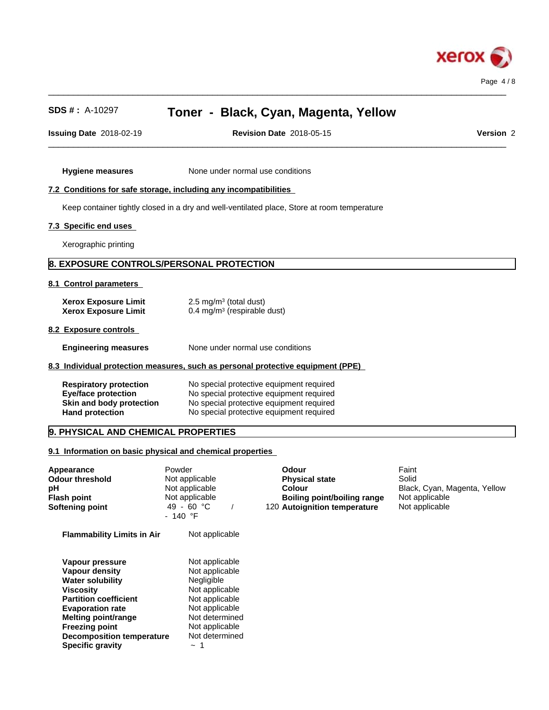

**Issuing Date** 2018-02-19 **Revision Date** 2018-05-15 **Version** 2

 $\_$  ,  $\_$  ,  $\_$  ,  $\_$  ,  $\_$  ,  $\_$  ,  $\_$  ,  $\_$  ,  $\_$  ,  $\_$  ,  $\_$  ,  $\_$  ,  $\_$  ,  $\_$  ,  $\_$  ,  $\_$  ,  $\_$  ,  $\_$  ,  $\_$  ,  $\_$  ,  $\_$  ,  $\_$  ,  $\_$  ,  $\_$  ,  $\_$  ,  $\_$  ,  $\_$  ,  $\_$  ,  $\_$  ,  $\_$  ,  $\_$  ,  $\_$  ,  $\_$  ,  $\_$  ,  $\_$  ,  $\_$  ,  $\_$  ,

 $\_$  ,  $\_$  ,  $\_$  ,  $\_$  ,  $\_$  ,  $\_$  ,  $\_$  ,  $\_$  ,  $\_$  ,  $\_$  ,  $\_$  ,  $\_$  ,  $\_$  ,  $\_$  ,  $\_$  ,  $\_$  ,  $\_$  ,  $\_$  ,  $\_$  ,  $\_$  ,  $\_$  ,  $\_$  ,  $\_$  ,  $\_$  ,  $\_$  ,  $\_$  ,  $\_$  ,  $\_$  ,  $\_$  ,  $\_$  ,  $\_$  ,  $\_$  ,  $\_$  ,  $\_$  ,  $\_$  ,  $\_$  ,  $\_$  ,

**Hygiene measures** None under normal use conditions

## **7.2 Conditions for safe storage, including any incompatibilities**

Keep container tightly closed in a dry and well-ventilated place, Store at room temperature

# **7.3 Specific end uses**

Xerographic printing

# **8. EXPOSURE CONTROLS/PERSONAL PROTECTION**

#### **8.1 Control parameters**

| <b>Xerox Exposure Limit</b> | $2.5 \text{ mg/m}^3$ (total dust)       |
|-----------------------------|-----------------------------------------|
| <b>Xerox Exposure Limit</b> | 0.4 mg/m <sup>3</sup> (respirable dust) |

# **8.2 Exposure controls**

**Engineering measures** None under normal use conditions

#### **8.3 Individual protection measures, such as personal protective equipment (PPE)**

| <b>Respiratory protection</b> | No special protective equipment required |
|-------------------------------|------------------------------------------|
| <b>Eve/face protection</b>    | No special protective equipment required |
| Skin and body protection      | No special protective equipment required |
| <b>Hand protection</b>        | No special protective equipment required |

# **9. PHYSICAL AND CHEMICAL PROPERTIES**

#### **9.1 Information on basic physical and chemical properties**

| <b>Appearance</b><br>Odour threshold<br>рH<br>Flash point<br>Softening point | Powder<br>Not applicable<br>Not applicable<br>Not applicable<br>49 - 60 °C<br>$-140$ °F | Odour<br><b>Physical state</b><br>Colour<br>Boiling point/boiling range<br>120 Autoignition temperature | Faint<br>Solid<br>Black, Cyan, Magenta, Yellow<br>Not applicable<br>Not applicable |  |
|------------------------------------------------------------------------------|-----------------------------------------------------------------------------------------|---------------------------------------------------------------------------------------------------------|------------------------------------------------------------------------------------|--|
| <b>Flammability Limits in Air</b>                                            | Not applicable                                                                          |                                                                                                         |                                                                                    |  |
| Vapour pressure                                                              | Not applicable                                                                          |                                                                                                         |                                                                                    |  |
| Vapour density                                                               | Not applicable                                                                          |                                                                                                         |                                                                                    |  |
| <b>Water solubility</b>                                                      | Negligible                                                                              |                                                                                                         |                                                                                    |  |
| <b>Viscosity</b>                                                             | Not applicable                                                                          |                                                                                                         |                                                                                    |  |
| <b>Partition coefficient</b>                                                 | Not applicable                                                                          |                                                                                                         |                                                                                    |  |
| <b>Evaporation rate</b>                                                      | Not applicable                                                                          |                                                                                                         |                                                                                    |  |
| <b>Melting point/range</b>                                                   | Not determined                                                                          |                                                                                                         |                                                                                    |  |
| <b>Freezing point</b>                                                        | Not applicable                                                                          |                                                                                                         |                                                                                    |  |
| <b>Decomposition temperature</b>                                             | Not determined                                                                          |                                                                                                         |                                                                                    |  |
| <b>Specific gravity</b>                                                      | $\sim$ $\lambda$                                                                        |                                                                                                         |                                                                                    |  |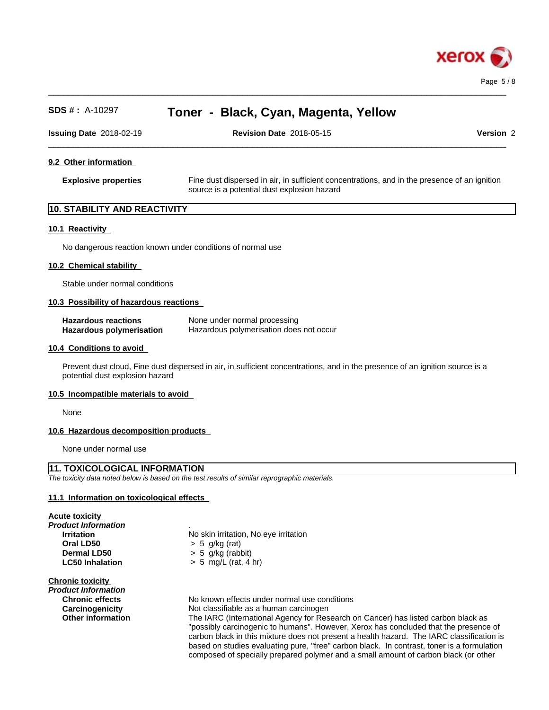

 $\_$  ,  $\_$  ,  $\_$  ,  $\_$  ,  $\_$  ,  $\_$  ,  $\_$  ,  $\_$  ,  $\_$  ,  $\_$  ,  $\_$  ,  $\_$  ,  $\_$  ,  $\_$  ,  $\_$  ,  $\_$  ,  $\_$  ,  $\_$  ,  $\_$  ,  $\_$  ,  $\_$  ,  $\_$  ,  $\_$  ,  $\_$  ,  $\_$  ,  $\_$  ,  $\_$  ,  $\_$  ,  $\_$  ,  $\_$  ,  $\_$  ,  $\_$  ,  $\_$  ,  $\_$  ,  $\_$  ,  $\_$  ,  $\_$  , **SDS # :** A-10297 **Toner - Black, Cyan, Magenta, Yellow Issuing Date** 2018-02-19 **Revision Date** 2018-05-15 **Version** 2 **9.2 Other information Explosive properties** Fine dust dispersed in air, in sufficient concentrations, and in the presence of an ignition source is a potential dust explosion hazard **10. STABILITY AND REACTIVITY 10.1 Reactivity** No dangerous reaction known under conditions of normal use **10.2 Chemical stability** Stable under normal conditions **10.3 Possibility of hazardous reactions Hazardous reactions**<br> **Hazardous polymerisation Hazardous polymerisation does Hazardous polymerisation does not occur** 

 $\_$  ,  $\_$  ,  $\_$  ,  $\_$  ,  $\_$  ,  $\_$  ,  $\_$  ,  $\_$  ,  $\_$  ,  $\_$  ,  $\_$  ,  $\_$  ,  $\_$  ,  $\_$  ,  $\_$  ,  $\_$  ,  $\_$  ,  $\_$  ,  $\_$  ,  $\_$  ,  $\_$  ,  $\_$  ,  $\_$  ,  $\_$  ,  $\_$  ,  $\_$  ,  $\_$  ,  $\_$  ,  $\_$  ,  $\_$  ,  $\_$  ,  $\_$  ,  $\_$  ,  $\_$  ,  $\_$  ,  $\_$  ,  $\_$  ,

#### **10.4 Conditions to avoid**

Prevent dust cloud, Fine dust dispersed in air, in sufficient concentrations, and in the presence of an ignition source is a potential dust explosion hazard

#### **10.5 Incompatible materials to avoid**

None

#### **10.6 Hazardous decomposition products**

None under normal use

# **11. TOXICOLOGICAL INFORMATION**

*The toxicity data noted below is based on the test results of similar reprographic materials.*

#### **11.1 Information on toxicologicaleffects**

**Acute toxicity**

*Product Information* . **Oral LD50** > 5 g/kg (rat)

**Irritation** No skin irritation, No eye irritation **Dermal LD50** > 5 g/kg (rabbit) **LC50 Inhalation** > 5 mg/L (rat, 4 hr)

**Chronic toxicity**

*Product Information*

**Chronic effects** No known effects under normal use conditions **Carcinogenicity** Not classifiable as a human carcinogen **Other information** The IARC (International Agency for Research on Cancer) has listed carbon black as "possibly carcinogenic to humans". However, Xerox has concluded that the presence of carbon black in this mixture does not present a health hazard. The IARC classification is based on studies evaluating pure, "free" carbon black. In contrast, toner is a formulation composed of specially prepared polymer and a small amount of carbon black (or other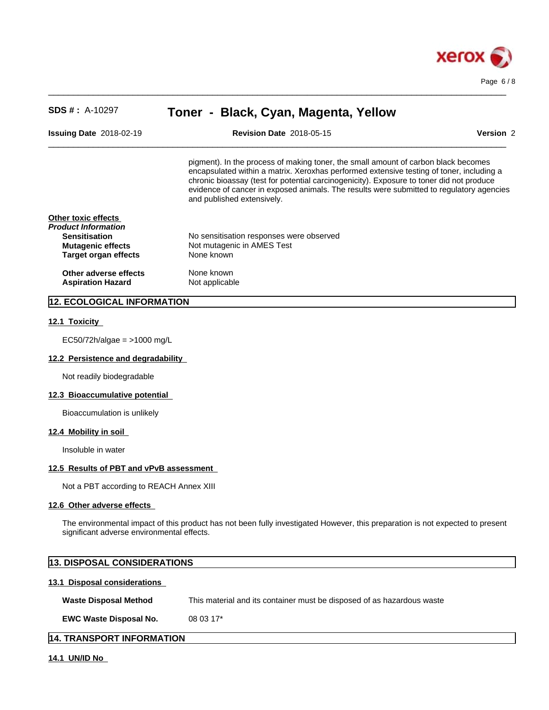

| <b>SDS # : A-10297</b>                     | Toner - Black, Cyan, Magenta, Yellow                                                                                                                                                                                                                                                                                                                                                                 |                  |
|--------------------------------------------|------------------------------------------------------------------------------------------------------------------------------------------------------------------------------------------------------------------------------------------------------------------------------------------------------------------------------------------------------------------------------------------------------|------------------|
| <b>Issuing Date 2018-02-19</b>             | <b>Revision Date 2018-05-15</b>                                                                                                                                                                                                                                                                                                                                                                      | <b>Version 2</b> |
|                                            | pigment). In the process of making toner, the small amount of carbon black becomes<br>encapsulated within a matrix. Xeroxhas performed extensive testing of toner, including a<br>chronic bioassay (test for potential carcinogenicity). Exposure to toner did not produce<br>evidence of cancer in exposed animals. The results were submitted to regulatory agencies<br>and published extensively. |                  |
| Other toxic effects<br>Product Information |                                                                                                                                                                                                                                                                                                                                                                                                      |                  |
| <b>Sensitisation</b>                       | No sensitisation responses were observed                                                                                                                                                                                                                                                                                                                                                             |                  |
| <b>Mutagenic effects</b>                   | Not mutagenic in AMES Test                                                                                                                                                                                                                                                                                                                                                                           |                  |
| Target organ effects                       | None known                                                                                                                                                                                                                                                                                                                                                                                           |                  |
| Other adverse effects                      | None known                                                                                                                                                                                                                                                                                                                                                                                           |                  |
| <b>Aspiration Hazard</b>                   | Not applicable                                                                                                                                                                                                                                                                                                                                                                                       |                  |
| 12. ECOLOGICAL INFORMATION                 |                                                                                                                                                                                                                                                                                                                                                                                                      |                  |

 $\_$  ,  $\_$  ,  $\_$  ,  $\_$  ,  $\_$  ,  $\_$  ,  $\_$  ,  $\_$  ,  $\_$  ,  $\_$  ,  $\_$  ,  $\_$  ,  $\_$  ,  $\_$  ,  $\_$  ,  $\_$  ,  $\_$  ,  $\_$  ,  $\_$  ,  $\_$  ,  $\_$  ,  $\_$  ,  $\_$  ,  $\_$  ,  $\_$  ,  $\_$  ,  $\_$  ,  $\_$  ,  $\_$  ,  $\_$  ,  $\_$  ,  $\_$  ,  $\_$  ,  $\_$  ,  $\_$  ,  $\_$  ,  $\_$  ,

## **12.1 Toxicity**

EC50/72h/algae = >1000 mg/L

# **12.2 Persistence and degradability**

Not readily biodegradable

#### **12.3 Bioaccumulative potential**

Bioaccumulation is unlikely

# **12.4 Mobility in soil**

Insoluble in water

# **12.5 Results of PBT and vPvB assessment**

Not a PBT according to REACH Annex XIII

## **12.6 Other adverse effects**

The environmental impact of this product has not been fully investigated However, this preparation is not expected to present significant adverse environmental effects.

|                               | <b>13. DISPOSAL CONSIDERATIONS</b>                                     |  |  |
|-------------------------------|------------------------------------------------------------------------|--|--|
| 13.1 Disposal considerations  |                                                                        |  |  |
| <b>Waste Disposal Method</b>  | This material and its container must be disposed of as hazardous waste |  |  |
| <b>EWC Waste Disposal No.</b> | 08 03 17*                                                              |  |  |
| 14. TRANSPORT INFORMATION     |                                                                        |  |  |

**14.1 UN/ID No**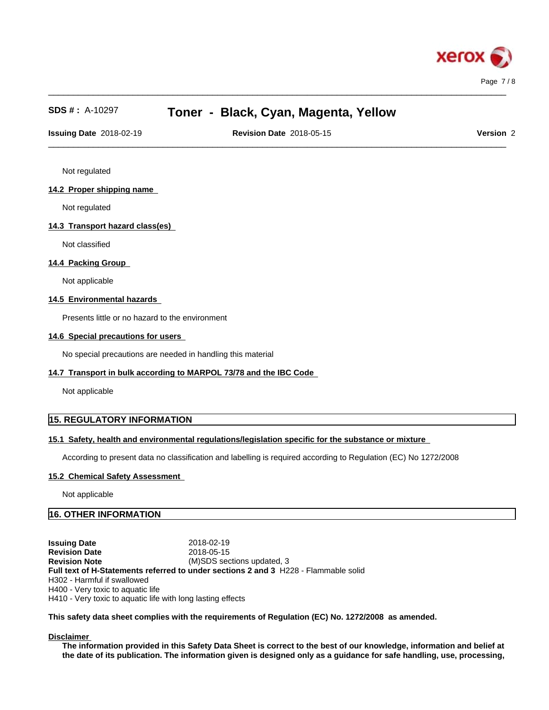

 $\_$  ,  $\_$  ,  $\_$  ,  $\_$  ,  $\_$  ,  $\_$  ,  $\_$  ,  $\_$  ,  $\_$  ,  $\_$  ,  $\_$  ,  $\_$  ,  $\_$  ,  $\_$  ,  $\_$  ,  $\_$  ,  $\_$  ,  $\_$  ,  $\_$  ,  $\_$  ,  $\_$  ,  $\_$  ,  $\_$  ,  $\_$  ,  $\_$  ,  $\_$  ,  $\_$  ,  $\_$  ,  $\_$  ,  $\_$  ,  $\_$  ,  $\_$  ,  $\_$  ,  $\_$  ,  $\_$  ,  $\_$  ,  $\_$  ,

 $\_$  ,  $\_$  ,  $\_$  ,  $\_$  ,  $\_$  ,  $\_$  ,  $\_$  ,  $\_$  ,  $\_$  ,  $\_$  ,  $\_$  ,  $\_$  ,  $\_$  ,  $\_$  ,  $\_$  ,  $\_$  ,  $\_$  ,  $\_$  ,  $\_$  ,  $\_$  ,  $\_$  ,  $\_$  ,  $\_$  ,  $\_$  ,  $\_$  ,  $\_$  ,  $\_$  ,  $\_$  ,  $\_$  ,  $\_$  ,  $\_$  ,  $\_$  ,  $\_$  ,  $\_$  ,  $\_$  ,  $\_$  ,  $\_$  , **Issuing Date** 2018-02-19 **Revision Date** 2018-05-15 **Version** 2

Not regulated

## **14.2 Proper shipping name**

Not regulated

# **14.3 Transport hazard class(es)**

Not classified

## **14.4 Packing Group**

Not applicable

# **14.5 Environmental hazards**

Presents little or no hazard to the environment

## **14.6 Special precautions for users**

No special precautions are needed in handling this material

## **14.7 Transport in bulk according to MARPOL 73/78 and the IBC Code**

Not applicable

# **15. REGULATORY INFORMATION**

## **15.1 Safety, health and environmental regulations/legislation specific for the substance or mixture**

According to present data no classification and labelling is required according to Regulation (EC) No 1272/2008

## **15.2 Chemical Safety Assessment**

Not applicable

# **16. OTHER INFORMATION**

**Issuing Date** 2018-02-19<br>**Revision Date** 2018-05-15 **Revision Date Revision Note** (M)SDS sections updated, 3 **Full text of H-Statements referred to undersections 2 and 3** H228 - Flammable solid H302 - Harmful if swallowed H400 - Very toxic to aquatic life H410 - Very toxic to aquatic life with long lasting effects

## **This safety data sheet complies with the requirements of Regulation (EC) No. 1272/2008 as amended.**

**Disclaimer**

The information provided in this Safety Data Sheet is correct to the best of our knowledge, information and belief at the date of its publication. The information given is designed only as a guidance for safe handling, use, processing,